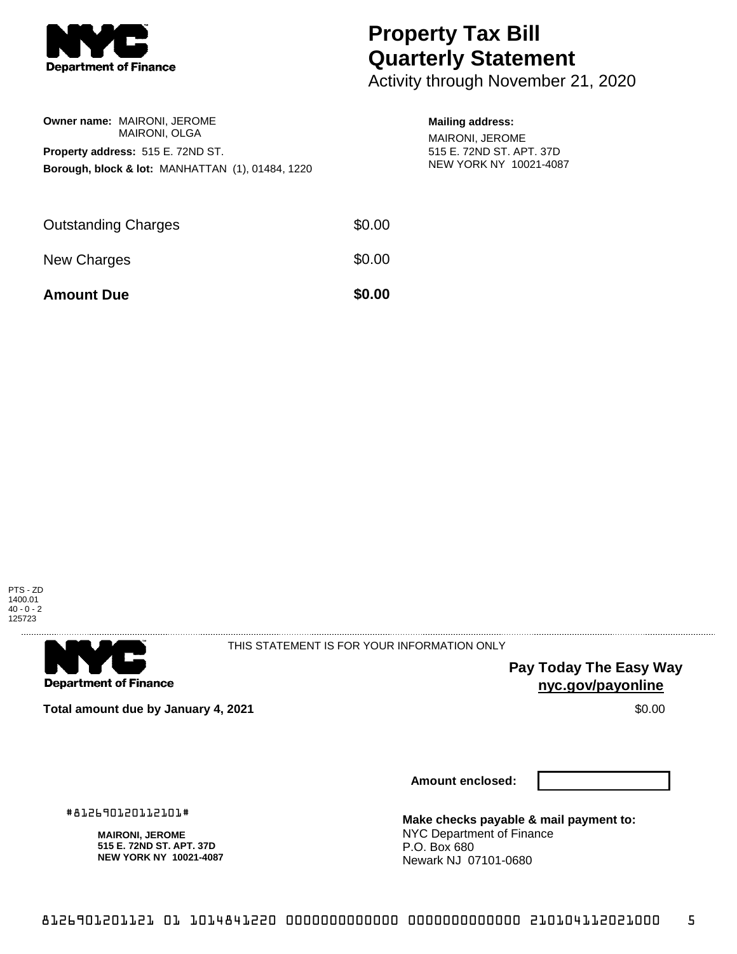

## **Property Tax Bill Quarterly Statement**

Activity through November 21, 2020

| <b>Owner name: MAIRONI, JEROME</b>                          |  | <b>MAIRONI, OLGA</b> |  |  |
|-------------------------------------------------------------|--|----------------------|--|--|
| <b>Property address: 515 E. 72ND ST.</b>                    |  |                      |  |  |
| <b>Borough, block &amp; lot: MANHATTAN (1), 01484, 1220</b> |  |                      |  |  |
|                                                             |  |                      |  |  |

## **Mailing address:**

MAIRONI, JEROME 515 E. 72ND ST. APT. 37D NEW YORK NY 10021-4087

| <b>Amount Due</b>          | \$0.00 |
|----------------------------|--------|
| New Charges                | \$0.00 |
| <b>Outstanding Charges</b> | \$0.00 |





THIS STATEMENT IS FOR YOUR INFORMATION ONLY

**Pay Today The Easy Way nyc.gov/payonline**

**Total amount due by January 4, 2021 \$0.00** \$0.00

**Amount enclosed:**

#812690120112101#

**MAIRONI, JEROME 515 E. 72ND ST. APT. 37D NEW YORK NY 10021-4087** **Make checks payable & mail payment to:** NYC Department of Finance P.O. Box 680 Newark NJ 07101-0680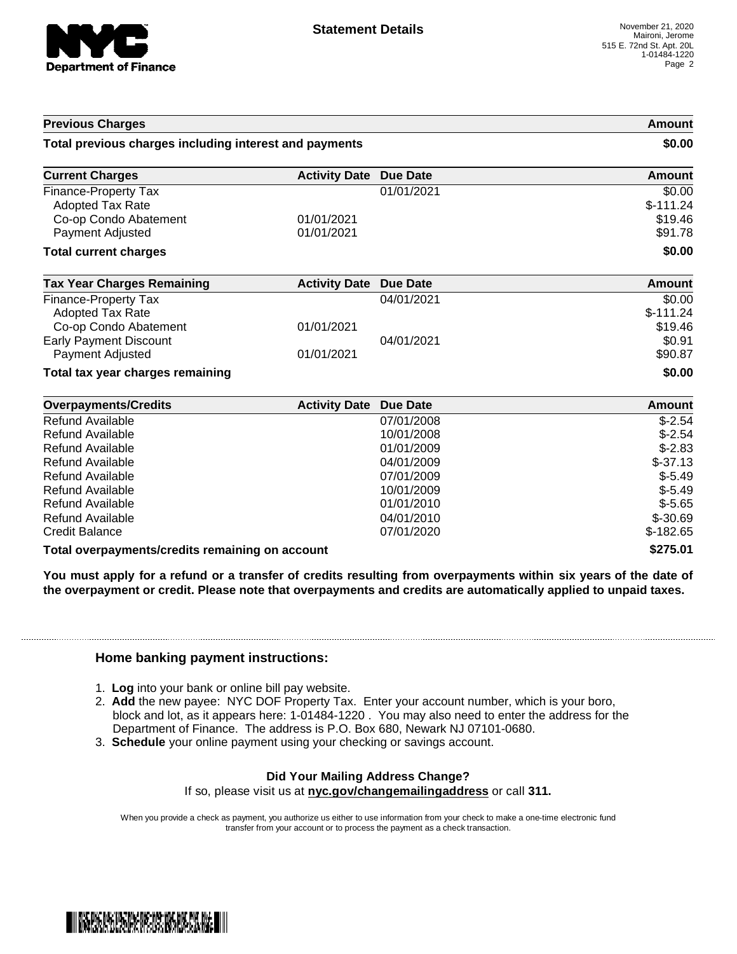

| <b>Previous Charges</b>                                |                      |                 | Amount        |
|--------------------------------------------------------|----------------------|-----------------|---------------|
| Total previous charges including interest and payments |                      |                 | \$0.00        |
| <b>Current Charges</b>                                 | <b>Activity Date</b> | Due Date        | <b>Amount</b> |
| Finance-Property Tax                                   |                      | 01/01/2021      | \$0.00        |
| <b>Adopted Tax Rate</b>                                |                      |                 | $$-111.24$    |
| Co-op Condo Abatement                                  | 01/01/2021           |                 | \$19.46       |
| Payment Adjusted                                       | 01/01/2021           |                 | \$91.78       |
| <b>Total current charges</b>                           |                      |                 | \$0.00        |
| <b>Tax Year Charges Remaining</b>                      | <b>Activity Date</b> | <b>Due Date</b> | Amount        |
| Finance-Property Tax                                   |                      | 04/01/2021      | \$0.00        |
| <b>Adopted Tax Rate</b>                                |                      |                 | $$-111.24$    |
| Co-op Condo Abatement                                  | 01/01/2021           |                 | \$19.46       |
| <b>Early Payment Discount</b>                          |                      | 04/01/2021      | \$0.91        |
| Payment Adjusted                                       | 01/01/2021           |                 | \$90.87       |
| Total tax year charges remaining                       |                      |                 | \$0.00        |
| <b>Overpayments/Credits</b>                            | <b>Activity Date</b> | Due Date        | <b>Amount</b> |
| Refund Available                                       |                      | 07/01/2008      | $$-2.54$      |
| <b>Refund Available</b>                                |                      | 10/01/2008      | $$-2.54$      |
| Refund Available                                       |                      | 01/01/2009      | $$-2.83$      |
| Refund Available                                       |                      | 04/01/2009      | $$-37.13$     |

| Total overpayments/credits remaining on account | \$275.01           |               |
|-------------------------------------------------|--------------------|---------------|
| Credit Balance                                  | 07/01/2020         | $$-182.65$    |
| Refund Available                                | 04/01/2010         | $$-30.69$     |
| Refund Available                                | 01/01/2010         | $$-5.65$      |
| Refund Available                                | 10/01/2009         | $$-5.49$      |
| Refund Available                                | 07/01/2009         | $$-5.49$      |
| <b>NEIUIIU AVAIIADIE</b>                        | <u>04/0 1/2009</u> | <b>-</b> טוני |

You must apply for a refund or a transfer of credits resulting from overpayments within six years of the date of **the overpayment or credit. Please note that overpayments and credits are automatically applied to unpaid taxes.**

## **Home banking payment instructions:**

- 1. **Log** into your bank or online bill pay website.
- 2. **Add** the new payee: NYC DOF Property Tax. Enter your account number, which is your boro, block and lot, as it appears here: 1-01484-1220 . You may also need to enter the address for the Department of Finance. The address is P.O. Box 680, Newark NJ 07101-0680.
- 3. **Schedule** your online payment using your checking or savings account.

## **Did Your Mailing Address Change?**

If so, please visit us at **nyc.gov/changemailingaddress** or call **311.**

When you provide a check as payment, you authorize us either to use information from your check to make a one-time electronic fund transfer from your account or to process the payment as a check transaction.